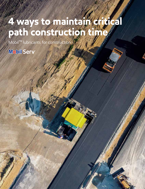# **4 ways to maintain critical path construction time**

Mobil™ lubricants for construction

Mobil Serv<sup>®</sup>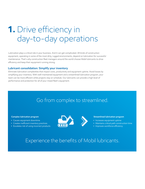## **1.** Drive efficiency in day-to-day operations

Lubrication plays a critical role in your business. And it can get complicated. All kinds of construction equipment, operating in some of the most dirty, rugged environments, depend on lubrication for successful maintenance. That's why construction fleet managers around the world choose Mobil lubricants to drive efficiency and keep their equipment running strong.

#### **Lubricant consolidation: Simplify your inventory**

Eliminate lubrication complexities that impact costs, productivity and equipment uptime. Avoid losses by simplifying your inventory. With well-maintained equipment and a streamlined lubrication program, your team can be more efficient while projects stay on schedule. Our lubricants can provide a high level of performance and protection for all of your mixed fleet's equipment.

### Go from complex to streamlined.

#### **Complex lubrication program**

- Causes equipment downtime
- Creates inefficient inventory practices
- Escalates risk of using incorrect products



#### **Streamlined lubrication program**

- Increases equipment uptime
- Maintains critical path construction time
- Improves workforce efficiency

### Experience the benefits of Mobil lubricants.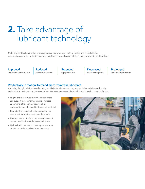## **2.** Take advantage of lubricant technology

Mobil lubricant technology has produced proven performance – both in the lab and in the field. For construction contractors, the technologically advanced formulas can help lead to many advantages, including:

**Improved machinery performance** **Reduced maintenance costs** **Extended equipment life** **Decreased fuel consumption** **Prolonged equipment protection**

#### **Productivity in motion: Demand more from your lubricants**

Choosing the right lubricants and running an efficient maintenance program can help maximize productivity and minimize the impact on the environment. Here are some examples of what Mobil products can do for you:

- **• Engine oils** that reduce friction and last longer can support fuel economy potential, increase operational efficiency, reduce overall oil consumption and the need to dispose of waste oil
- **• Gear oils** that provide effective protection for equipment reduce the need to replace parts
- **• Greases** resistant to deterioration and washout reduce the risk of workplace contamination
- **• Hydraulic oils** that reach operating temperature quickly can reduce fuel costs and emissions

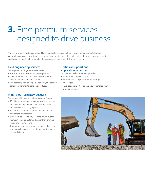### **3.** Find premium services designed to drive business

We can provide expert guidance and field support to help you get most from your equipment. With our world-class engineers, outstanding technical support staff and wide variety of services, you can reduce costs and boost productivity by improving the way you manage your lubrication program.

#### **Field engineering services**

Our experienced engineering team offers:

- Application and troubleshooting expertise
- Guidance on the maintenance of construction equipment and lubrication systems
- Lubricant support to help you achieve your goals in safety, environmental care and productivity

#### **Mobil Serv Lubricant Analysis**

Our advanced lubricant analysis program features:

- 27 different measurements that help you monitor lubricant and equipment condition, and avoid breakdowns and costly repairs
- A central dashboard to monitor lubrication and equipment maintenance
- Scan-and-go technology allowing you to submit lubricant samples faster and easier than printing labels and writing forms
- Comprehensive reports and summaries that help you assess lubricant and equipment performance more efficiently

#### **Technical support and application expertise**

Our team of technical experts provides:

- Support by phone or online
- Guidance to help you handle your toughest challenges
- Application expertise to help you rationalize your product inventory

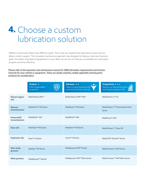### **4.** Choose a custom lubrication solution

Different construction fleets have different needs. That's why we created three lubrication product tiers to deliver custom support. This innovative maintenance approach was designed to help you meet your business goals. No matter what type of equipment is in your fleet, we can we can help you consolidate your lubrication program and drive efficiency.

**Please refer to the operation and maintenance manual for OEM lubrication requirements and oil drain intervals for your vehicle or equipment. These are simply mainline, widely applicable starting point products for consideration.**

|                                    | Protect *<br>Offers dependable<br>protection. | Advance * *<br>Helps increase equipment life<br>and extend oil drain intervals. | Outperform * * *<br>Delivers our best performance<br>and longest equipment life. |
|------------------------------------|-----------------------------------------------|---------------------------------------------------------------------------------|----------------------------------------------------------------------------------|
| Diesel engine<br>oils              | Mobil Delvac MX™                              | Mobil Delvac XHP™ ESP                                                           | Mobil Delvac 1™ LE                                                               |
| <b>Manual</b><br>transmissions     | Mobiltrans™ HD Series                         | Mobiltrans™ HD Series                                                           | Mobil Delvac 1™ Transmission Fluid<br><b>Series</b>                              |
| <b>Powershift</b><br>transmissions | Mobilfluid <sup>™</sup> 424                   | Mobilfluid <sup>™</sup> 428                                                     | Mobiltrans™ AST                                                                  |
| <b>Gear oils</b>                   | Mobilube <sup>™</sup> HD Series               | Mobilube <sup>™</sup> HD Series                                                 | Mobil Delvac 1™ Gear Oil                                                         |
| <b>Hydraulic oils</b>              | Nuto <sup>™</sup> H Series                    | Univis <sup>™</sup> N Series                                                    | Mobil DTE 10 Excel™ Series                                                       |
| Non-moly<br>greases                | Mobilux <sup>™</sup> EP Series                | Mobilgrease XHP™ Series                                                         | Mobil Centaur <sup>™</sup> XHP Series                                            |
| <b>Moly greases</b>                | Mobilgrease <sup>™</sup> Special              | Mobilgrease XHP™ Mine Series                                                    | Mobil Centaur <sup>™</sup> XHP Mine Series                                       |